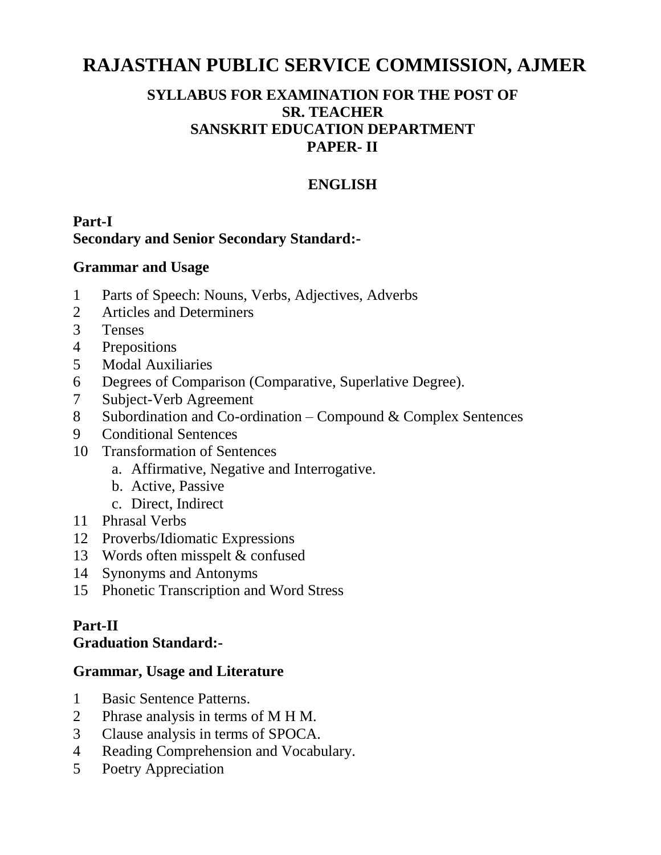# **RAJASTHAN PUBLIC SERVICE COMMISSION, AJMER**

## **SYLLABUS FOR EXAMINATION FOR THE POST OF SR. TEACHER SANSKRIT EDUCATION DEPARTMENT PAPER- II**

# **ENGLISH**

## **Part-I Secondary and Senior Secondary Standard:-**

### **Grammar and Usage**

- 1 Parts of Speech: Nouns, Verbs, Adjectives, Adverbs
- 2 Articles and Determiners
- 3 Tenses
- 4 Prepositions
- 5 Modal Auxiliaries
- 6 Degrees of Comparison (Comparative, Superlative Degree).
- 7 Subject-Verb Agreement
- 8 Subordination and Co-ordination Compound & Complex Sentences
- 9 Conditional Sentences
- 10 Transformation of Sentences
	- a. Affirmative, Negative and Interrogative.
	- b. Active, Passive
	- c. Direct, Indirect
- 11 Phrasal Verbs
- 12 Proverbs/Idiomatic Expressions
- 13 Words often misspelt & confused
- 14 Synonyms and Antonyms
- 15 Phonetic Transcription and Word Stress

# **Part-II**

#### **Graduation Standard:-**

## **Grammar, Usage and Literature**

- 1 Basic Sentence Patterns.
- 2 Phrase analysis in terms of M H M.
- 3 Clause analysis in terms of SPOCA.
- 4 Reading Comprehension and Vocabulary.
- 5 Poetry Appreciation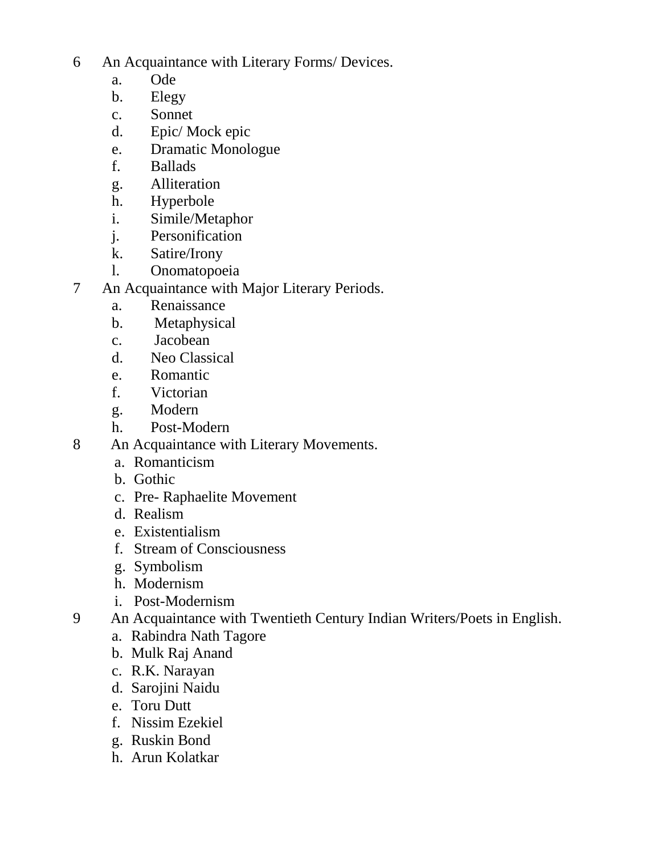6 An Acquaintance with Literary Forms/ Devices.

- a. Ode
- b. Elegy
- c. Sonnet
- d. Epic/ Mock epic
- e. Dramatic Monologue
- f. Ballads
- g. Alliteration
- h. Hyperbole
- i. Simile/Metaphor
- j. Personification
- k. Satire/Irony
- l. Onomatopoeia
- 7 An Acquaintance with Major Literary Periods.
	- a. Renaissance
	- b. Metaphysical
	- c. Jacobean
	- d. Neo Classical
	- e. Romantic
	- f. Victorian
	- g. Modern
	- h. Post-Modern
- 8 An Acquaintance with Literary Movements.
	- a. Romanticism
	- b. Gothic
	- c. Pre- Raphaelite Movement
	- d. Realism
	- e. Existentialism
	- f. Stream of Consciousness
	- g. Symbolism
	- h. Modernism
	- i. Post-Modernism
- 9 An Acquaintance with Twentieth Century Indian Writers/Poets in English.
	- a. Rabindra Nath Tagore
	- b. Mulk Raj Anand
	- c. R.K. Narayan
	- d. Sarojini Naidu
	- e. Toru Dutt
	- f. Nissim Ezekiel
	- g. Ruskin Bond
	- h. Arun Kolatkar